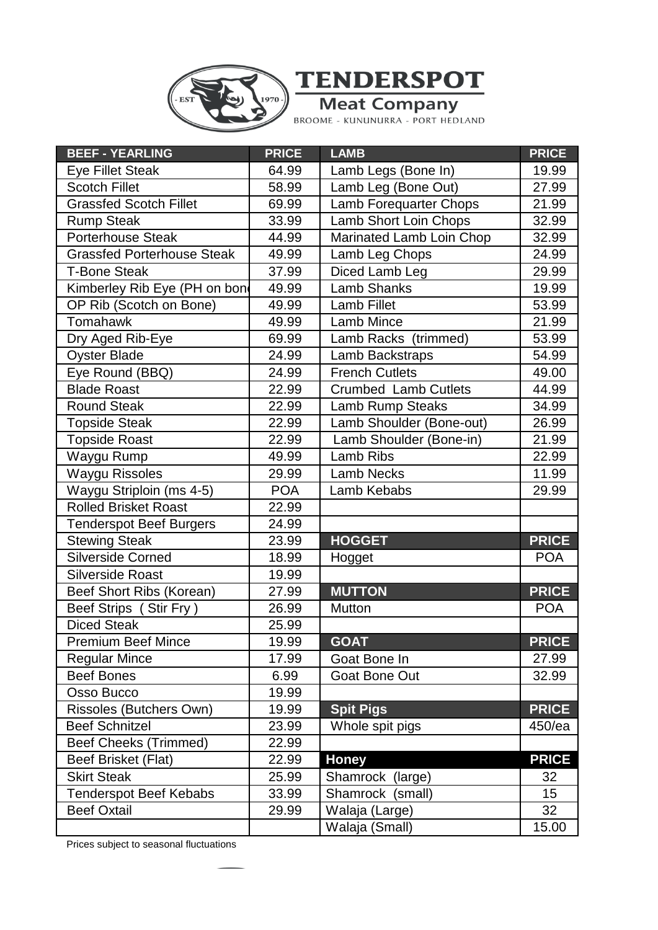



| <b>BEEF - YEARLING</b>            | <b>PRICE</b> | <b>LAMB</b>                   | <b>PRICE</b> |
|-----------------------------------|--------------|-------------------------------|--------------|
| <b>Eye Fillet Steak</b>           | 64.99        | Lamb Legs (Bone In)           | 19.99        |
| <b>Scotch Fillet</b>              | 58.99        | Lamb Leg (Bone Out)           | 27.99        |
| <b>Grassfed Scotch Fillet</b>     | 69.99        | <b>Lamb Forequarter Chops</b> | 21.99        |
| <b>Rump Steak</b>                 | 33.99        | Lamb Short Loin Chops         | 32.99        |
| <b>Porterhouse Steak</b>          | 44.99        | Marinated Lamb Loin Chop      | 32.99        |
| <b>Grassfed Porterhouse Steak</b> | 49.99        | Lamb Leg Chops                | 24.99        |
| <b>T-Bone Steak</b>               | 37.99        | Diced Lamb Leg                | 29.99        |
| Kimberley Rib Eye (PH on bon      | 49.99        | <b>Lamb Shanks</b>            | 19.99        |
| OP Rib (Scotch on Bone)           | 49.99        | Lamb Fillet                   | 53.99        |
| Tomahawk                          | 49.99        | Lamb Mince                    | 21.99        |
| Dry Aged Rib-Eye                  | 69.99        | Lamb Racks (trimmed)          | 53.99        |
| <b>Oyster Blade</b>               | 24.99        | Lamb Backstraps               | 54.99        |
| Eye Round (BBQ)                   | 24.99        | <b>French Cutlets</b>         | 49.00        |
| <b>Blade Roast</b>                | 22.99        | <b>Crumbed Lamb Cutlets</b>   | 44.99        |
| <b>Round Steak</b>                | 22.99        | Lamb Rump Steaks              | 34.99        |
| <b>Topside Steak</b>              | 22.99        | Lamb Shoulder (Bone-out)      | 26.99        |
| <b>Topside Roast</b>              | 22.99        | Lamb Shoulder (Bone-in)       | 21.99        |
| Waygu Rump                        | 49.99        | Lamb Ribs                     | 22.99        |
| <b>Waygu Rissoles</b>             | 29.99        | <b>Lamb Necks</b>             | 11.99        |
| Waygu Striploin (ms 4-5)          | <b>POA</b>   | Lamb Kebabs                   | 29.99        |
| <b>Rolled Brisket Roast</b>       | 22.99        |                               |              |
| <b>Tenderspot Beef Burgers</b>    | 24.99        |                               |              |
| <b>Stewing Steak</b>              | 23.99        | <b>HOGGET</b>                 | <b>PRICE</b> |
| Silverside Corned                 | 18.99        | Hogget                        | <b>POA</b>   |
| <b>Silverside Roast</b>           | 19.99        |                               |              |
| Beef Short Ribs (Korean)          | 27.99        | <b>MUTTON</b>                 | <b>PRICE</b> |
| Beef Strips (Stir Fry)            | 26.99        | Mutton                        | <b>POA</b>   |
| <b>Diced Steak</b>                | 25.99        |                               |              |
| <b>Premium Beef Mince</b>         | 19.99        | <b>GOAT</b>                   | <b>PRICE</b> |
| <b>Regular Mince</b>              | 17.99        | Goat Bone In                  | 27.99        |
| <b>Beef Bones</b>                 | 6.99         | <b>Goat Bone Out</b>          | 32.99        |
| Osso Bucco                        | 19.99        |                               |              |
| Rissoles (Butchers Own)           | 19.99        | <b>Spit Pigs</b>              | <b>PRICE</b> |
| <b>Beef Schnitzel</b>             | 23.99        | Whole spit pigs               | 450/ea       |
| <b>Beef Cheeks (Trimmed)</b>      | 22.99        |                               |              |
| Beef Brisket (Flat)               | 22.99        | <b>Honey</b>                  | <b>PRICE</b> |
| <b>Skirt Steak</b>                | 25.99        | Shamrock (large)              | 32           |
| <b>Tenderspot Beef Kebabs</b>     | 33.99        | Shamrock (small)              | 15           |
| <b>Beef Oxtail</b>                | 29.99        | Walaja (Large)                | 32           |
|                                   |              | Walaja (Small)                | 15.00        |

Prices subject to seasonal fluctuations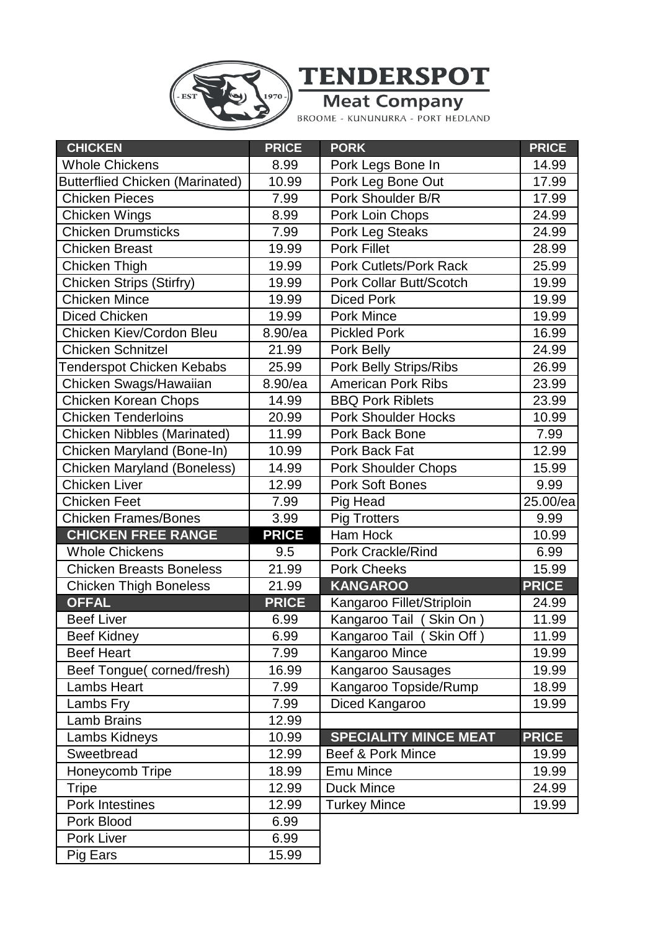

**TENDERSPOT** 

**Meat Company**<br>BROOME - KUNUNURRA - PORT HEDLAND

| <b>CHICKEN</b>                         | <b>PRICE</b> | <b>PORK</b>                    | <b>PRICE</b> |
|----------------------------------------|--------------|--------------------------------|--------------|
| <b>Whole Chickens</b>                  | 8.99         | Pork Legs Bone In              | 14.99        |
| <b>Butterflied Chicken (Marinated)</b> | 10.99        | Pork Leg Bone Out              | 17.99        |
| <b>Chicken Pieces</b>                  | 7.99         | Pork Shoulder B/R              | 17.99        |
| Chicken Wings                          | 8.99         | Pork Loin Chops                | 24.99        |
| <b>Chicken Drumsticks</b>              | 7.99         | <b>Pork Leg Steaks</b>         | 24.99        |
| <b>Chicken Breast</b>                  | 19.99        | Pork Fillet                    | 28.99        |
| Chicken Thigh                          | 19.99        | <b>Pork Cutlets/Pork Rack</b>  | 25.99        |
| <b>Chicken Strips (Stirfry)</b>        | 19.99        | <b>Pork Collar Butt/Scotch</b> | 19.99        |
| <b>Chicken Mince</b>                   | 19.99        | <b>Diced Pork</b>              | 19.99        |
| <b>Diced Chicken</b>                   | 19.99        | <b>Pork Mince</b>              | 19.99        |
| <b>Chicken Kiev/Cordon Bleu</b>        | 8.90/ea      | <b>Pickled Pork</b>            | 16.99        |
| <b>Chicken Schnitzel</b>               | 21.99        | Pork Belly                     | 24.99        |
| <b>Tenderspot Chicken Kebabs</b>       | 25.99        | <b>Pork Belly Strips/Ribs</b>  | 26.99        |
| Chicken Swags/Hawaiian                 | 8.90/ea      | <b>American Pork Ribs</b>      | 23.99        |
| Chicken Korean Chops                   | 14.99        | <b>BBQ Pork Riblets</b>        | 23.99        |
| <b>Chicken Tenderloins</b>             | 20.99        | <b>Pork Shoulder Hocks</b>     | 10.99        |
| <b>Chicken Nibbles (Marinated)</b>     | 11.99        | Pork Back Bone                 | 7.99         |
| Chicken Maryland (Bone-In)             | 10.99        | Pork Back Fat                  | 12.99        |
| <b>Chicken Maryland (Boneless)</b>     | 14.99        | <b>Pork Shoulder Chops</b>     | 15.99        |
| <b>Chicken Liver</b>                   | 12.99        | <b>Pork Soft Bones</b>         | 9.99         |
| <b>Chicken Feet</b>                    | 7.99         | Pig Head                       | 25.00/ea     |
| <b>Chicken Frames/Bones</b>            | 3.99         | <b>Pig Trotters</b>            | 9.99         |
| <b>CHICKEN FREE RANGE</b>              | <b>PRICE</b> | Ham Hock                       | 10.99        |
| <b>Whole Chickens</b>                  | 9.5          | Pork Crackle/Rind              | 6.99         |
| <b>Chicken Breasts Boneless</b>        | 21.99        | <b>Pork Cheeks</b>             | 15.99        |
| <b>Chicken Thigh Boneless</b>          | 21.99        | <b>KANGAROO</b>                | <b>PRICE</b> |
| <b>OFFAL</b>                           | <b>PRICE</b> | Kangaroo Fillet/Striploin      | 24.99        |
| <b>Beef Liver</b>                      | 6.99         | Kangaroo Tail (Skin On)        | 11.99        |
| <b>Beef Kidney</b>                     | 6.99         | Kangaroo Tail (Skin Off)       | 11.99        |
| <b>Beef Heart</b>                      | 7.99         | Kangaroo Mince                 | 19.99        |
| Beef Tongue(corned/fresh)              | 16.99        | Kangaroo Sausages              | 19.99        |
| <b>Lambs Heart</b>                     | 7.99         | Kangaroo Topside/Rump          | 18.99        |
| Lambs Fry                              | 7.99         | Diced Kangaroo                 | 19.99        |
| <b>Lamb Brains</b>                     | 12.99        |                                |              |
| Lambs Kidneys                          | 10.99        | <b>SPECIALITY MINCE MEAT</b>   | <b>PRICE</b> |
| Sweetbread                             | 12.99        | <b>Beef &amp; Pork Mince</b>   | 19.99        |
| Honeycomb Tripe                        | 18.99        | <b>Emu Mince</b>               | 19.99        |
| <b>Tripe</b>                           | 12.99        | <b>Duck Mince</b>              | 24.99        |
| Pork Intestines                        | 12.99        | <b>Turkey Mince</b>            | 19.99        |
| Pork Blood                             | 6.99         |                                |              |
| Pork Liver                             | 6.99         |                                |              |
| Pig Ears                               | 15.99        |                                |              |